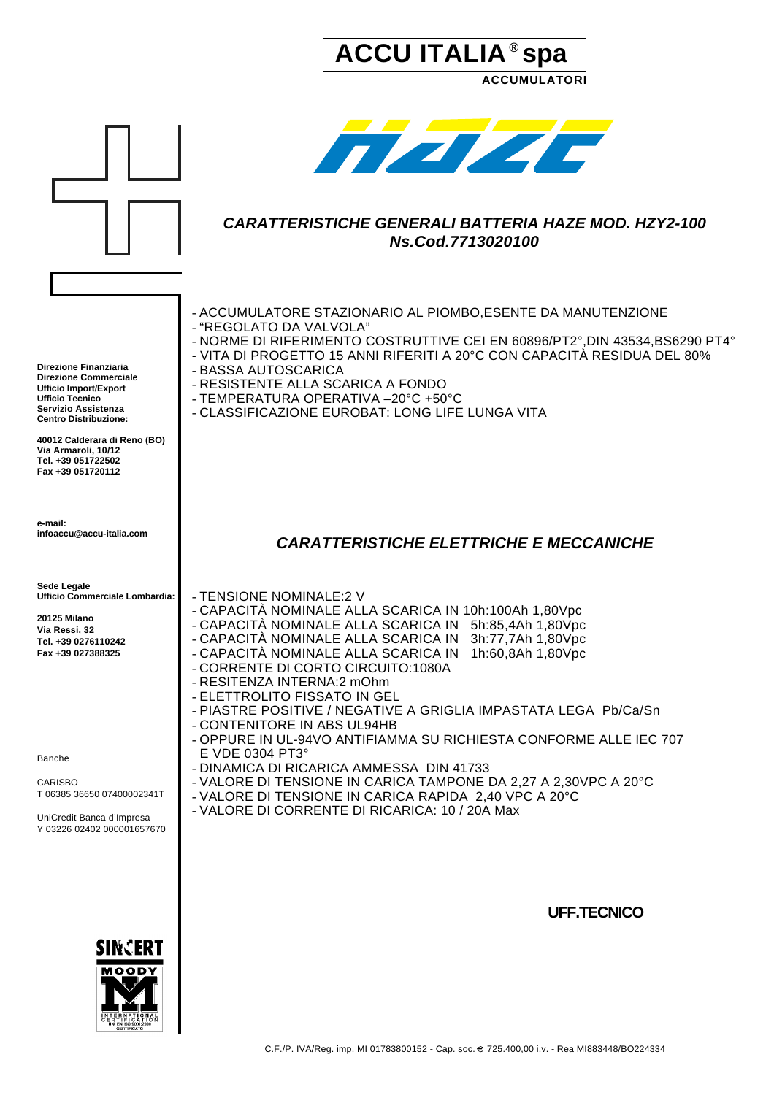